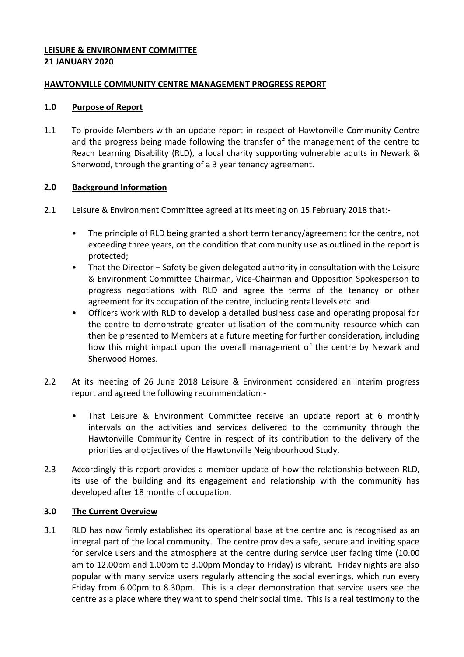## **LEISURE & ENVIRONMENT COMMITTEE 21 JANUARY 2020**

## **HAWTONVILLE COMMUNITY CENTRE MANAGEMENT PROGRESS REPORT**

### **1.0 Purpose of Report**

1.1 To provide Members with an update report in respect of Hawtonville Community Centre and the progress being made following the transfer of the management of the centre to Reach Learning Disability (RLD), a local charity supporting vulnerable adults in Newark & Sherwood, through the granting of a 3 year tenancy agreement.

# **2.0 Background Information**

- 2.1 Leisure & Environment Committee agreed at its meeting on 15 February 2018 that:-
	- The principle of RLD being granted a short term tenancy/agreement for the centre, not exceeding three years, on the condition that community use as outlined in the report is protected;
	- That the Director Safety be given delegated authority in consultation with the Leisure & Environment Committee Chairman, Vice-Chairman and Opposition Spokesperson to progress negotiations with RLD and agree the terms of the tenancy or other agreement for its occupation of the centre, including rental levels etc. and
	- Officers work with RLD to develop a detailed business case and operating proposal for the centre to demonstrate greater utilisation of the community resource which can then be presented to Members at a future meeting for further consideration, including how this might impact upon the overall management of the centre by Newark and Sherwood Homes.
- 2.2 At its meeting of 26 June 2018 Leisure & Environment considered an interim progress report and agreed the following recommendation:-
	- That Leisure & Environment Committee receive an update report at 6 monthly intervals on the activities and services delivered to the community through the Hawtonville Community Centre in respect of its contribution to the delivery of the priorities and objectives of the Hawtonville Neighbourhood Study.
- 2.3 Accordingly this report provides a member update of how the relationship between RLD, its use of the building and its engagement and relationship with the community has developed after 18 months of occupation.

# **3.0 The Current Overview**

3.1 RLD has now firmly established its operational base at the centre and is recognised as an integral part of the local community. The centre provides a safe, secure and inviting space for service users and the atmosphere at the centre during service user facing time (10.00 am to 12.00pm and 1.00pm to 3.00pm Monday to Friday) is vibrant. Friday nights are also popular with many service users regularly attending the social evenings, which run every Friday from 6.00pm to 8.30pm. This is a clear demonstration that service users see the centre as a place where they want to spend their social time. This is a real testimony to the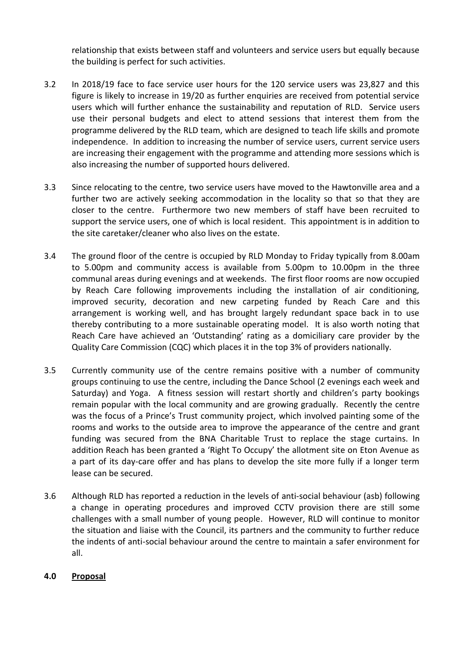relationship that exists between staff and volunteers and service users but equally because the building is perfect for such activities.

- 3.2 In 2018/19 face to face service user hours for the 120 service users was 23,827 and this figure is likely to increase in 19/20 as further enquiries are received from potential service users which will further enhance the sustainability and reputation of RLD. Service users use their personal budgets and elect to attend sessions that interest them from the programme delivered by the RLD team, which are designed to teach life skills and promote independence. In addition to increasing the number of service users, current service users are increasing their engagement with the programme and attending more sessions which is also increasing the number of supported hours delivered.
- 3.3 Since relocating to the centre, two service users have moved to the Hawtonville area and a further two are actively seeking accommodation in the locality so that so that they are closer to the centre. Furthermore two new members of staff have been recruited to support the service users, one of which is local resident. This appointment is in addition to the site caretaker/cleaner who also lives on the estate.
- 3.4 The ground floor of the centre is occupied by RLD Monday to Friday typically from 8.00am to 5.00pm and community access is available from 5.00pm to 10.00pm in the three communal areas during evenings and at weekends. The first floor rooms are now occupied by Reach Care following improvements including the installation of air conditioning, improved security, decoration and new carpeting funded by Reach Care and this arrangement is working well, and has brought largely redundant space back in to use thereby contributing to a more sustainable operating model. It is also worth noting that Reach Care have achieved an 'Outstanding' rating as a domiciliary care provider by the Quality Care Commission (CQC) which places it in the top 3% of providers nationally.
- 3.5 Currently community use of the centre remains positive with a number of community groups continuing to use the centre, including the Dance School (2 evenings each week and Saturday) and Yoga. A fitness session will restart shortly and children's party bookings remain popular with the local community and are growing gradually. Recently the centre was the focus of a Prince's Trust community project, which involved painting some of the rooms and works to the outside area to improve the appearance of the centre and grant funding was secured from the BNA Charitable Trust to replace the stage curtains. In addition Reach has been granted a 'Right To Occupy' the allotment site on Eton Avenue as a part of its day-care offer and has plans to develop the site more fully if a longer term lease can be secured.
- 3.6 Although RLD has reported a reduction in the levels of anti-social behaviour (asb) following a change in operating procedures and improved CCTV provision there are still some challenges with a small number of young people. However, RLD will continue to monitor the situation and liaise with the Council, its partners and the community to further reduce the indents of anti-social behaviour around the centre to maintain a safer environment for all.

# **4.0 Proposal**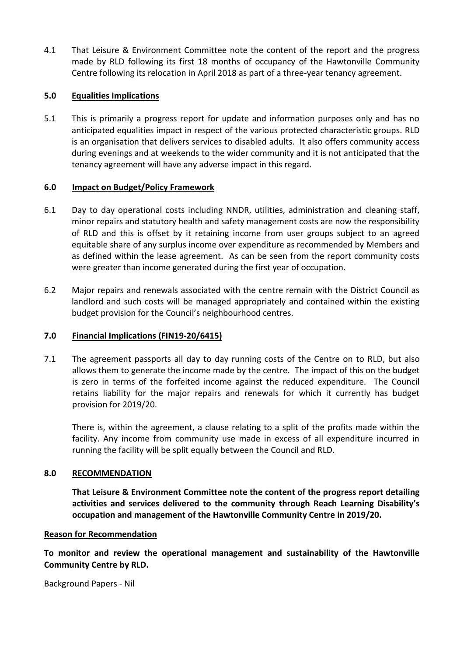4.1 That Leisure & Environment Committee note the content of the report and the progress made by RLD following its first 18 months of occupancy of the Hawtonville Community Centre following its relocation in April 2018 as part of a three-year tenancy agreement.

## **5.0 Equalities Implications**

5.1 This is primarily a progress report for update and information purposes only and has no anticipated equalities impact in respect of the various protected characteristic groups. RLD is an organisation that delivers services to disabled adults. It also offers community access during evenings and at weekends to the wider community and it is not anticipated that the tenancy agreement will have any adverse impact in this regard.

## **6.0 Impact on Budget/Policy Framework**

- 6.1 Day to day operational costs including NNDR, utilities, administration and cleaning staff, minor repairs and statutory health and safety management costs are now the responsibility of RLD and this is offset by it retaining income from user groups subject to an agreed equitable share of any surplus income over expenditure as recommended by Members and as defined within the lease agreement. As can be seen from the report community costs were greater than income generated during the first year of occupation.
- 6.2 Major repairs and renewals associated with the centre remain with the District Council as landlord and such costs will be managed appropriately and contained within the existing budget provision for the Council's neighbourhood centres.

### **7.0 Financial Implications (FIN19-20/6415)**

7.1 The agreement passports all day to day running costs of the Centre on to RLD, but also allows them to generate the income made by the centre. The impact of this on the budget is zero in terms of the forfeited income against the reduced expenditure. The Council retains liability for the major repairs and renewals for which it currently has budget provision for 2019/20.

There is, within the agreement, a clause relating to a split of the profits made within the facility. Any income from community use made in excess of all expenditure incurred in running the facility will be split equally between the Council and RLD.

# **8.0 RECOMMENDATION**

**That Leisure & Environment Committee note the content of the progress report detailing activities and services delivered to the community through Reach Learning Disability's occupation and management of the Hawtonville Community Centre in 2019/20.**

### **Reason for Recommendation**

**To monitor and review the operational management and sustainability of the Hawtonville Community Centre by RLD.**

### Background Papers - Nil